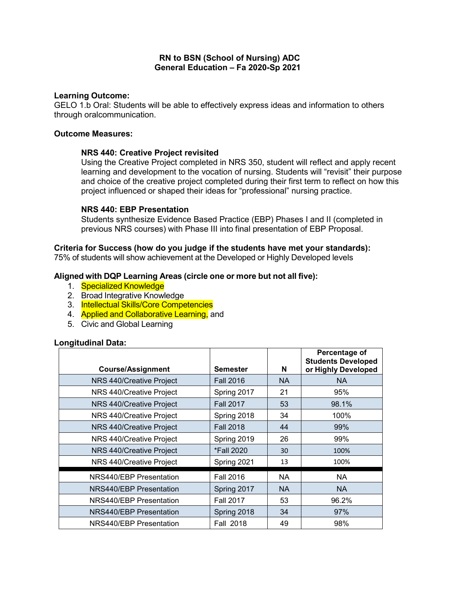## **RN to BSN (School of Nursing) ADC General Education – Fa 2020-Sp 2021**

## **Learning Outcome:**

GELO 1.b Oral: Students will be able to effectively express ideas and information to others through oralcommunication.

#### **Outcome Measures:**

## **NRS 440: Creative Project revisited**

Using the Creative Project completed in NRS 350, student will reflect and apply recent learning and development to the vocation of nursing. Students will "revisit" their purpose and choice of the creative project completed during their first term to reflect on how this project influenced or shaped their ideas for "professional" nursing practice.

## **NRS 440: EBP Presentation**

Students synthesize Evidence Based Practice (EBP) Phases I and II (completed in previous NRS courses) with Phase III into final presentation of EBP Proposal.

## **Criteria for Success (how do you judge if the students have met your standards):**

75% of students will show achievement at the Developed or Highly Developed levels

## **Aligned with DQP Learning Areas (circle one or more but not all five):**

- 1. Specialized Knowledge
- 2. Broad Integrative Knowledge
- 3. Intellectual Skills/Core Competencies
- 4. Applied and Collaborative Learning, and
- 5. Civic and Global Learning

#### **Longitudinal Data:**

| <b>Course/Assignment</b> | <b>Semester</b>  | N         | Percentage of<br><b>Students Developed</b><br>or Highly Developed |
|--------------------------|------------------|-----------|-------------------------------------------------------------------|
| NRS 440/Creative Project | <b>Fall 2016</b> | NA.       | <b>NA</b>                                                         |
| NRS 440/Creative Project | Spring 2017      | 21        | 95%                                                               |
| NRS 440/Creative Project | <b>Fall 2017</b> | 53        | 98.1%                                                             |
| NRS 440/Creative Project | Spring 2018      | 34        | 100%                                                              |
| NRS 440/Creative Project | <b>Fall 2018</b> | 44        | 99%                                                               |
| NRS 440/Creative Project | Spring 2019      | 26        | 99%                                                               |
| NRS 440/Creative Project | *Fall 2020       | 30        | 100%                                                              |
| NRS 440/Creative Project | Spring 2021      | 13        | 100%                                                              |
| NRS440/EBP Presentation  | <b>Fall 2016</b> | <b>NA</b> | <b>NA</b>                                                         |
| NRS440/EBP Presentation  | Spring 2017      | NA.       | <b>NA</b>                                                         |
| NRS440/EBP Presentation  | <b>Fall 2017</b> | 53        | 96.2%                                                             |
| NRS440/EBP Presentation  | Spring 2018      | 34        | 97%                                                               |
| NRS440/EBP Presentation  | Fall 2018        | 49        | 98%                                                               |